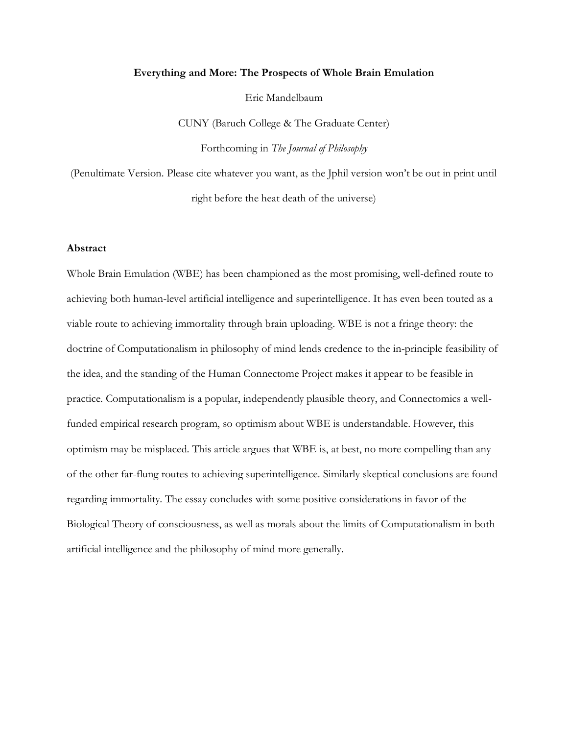#### **Everything and More: The Prospects of Whole Brain Emulation**

Eric Mandelbaum

CUNY (Baruch College & The Graduate Center) Forthcoming in *The Journal of Philosophy*

(Penultimate Version. Please cite whatever you want, as the Jphil version won't be out in print until right before the heat death of the universe)

#### **Abstract**

Whole Brain Emulation (WBE) has been championed as the most promising, well-defined route to achieving both human-level artificial intelligence and superintelligence. It has even been touted as a viable route to achieving immortality through brain uploading. WBE is not a fringe theory: the doctrine of Computationalism in philosophy of mind lends credence to the in-principle feasibility of the idea, and the standing of the Human Connectome Project makes it appear to be feasible in practice. Computationalism is a popular, independently plausible theory, and Connectomics a wellfunded empirical research program, so optimism about WBE is understandable. However, this optimism may be misplaced. This article argues that WBE is, at best, no more compelling than any of the other far-flung routes to achieving superintelligence. Similarly skeptical conclusions are found regarding immortality. The essay concludes with some positive considerations in favor of the Biological Theory of consciousness, as well as morals about the limits of Computationalism in both artificial intelligence and the philosophy of mind more generally.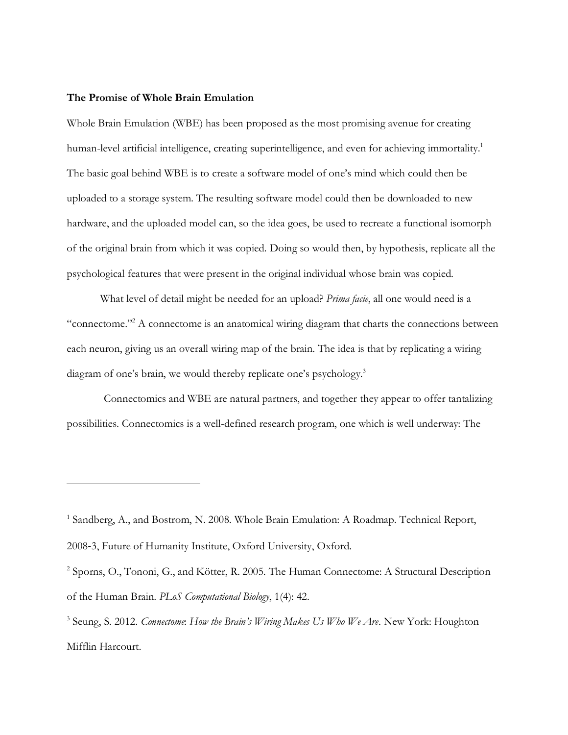## **The Promise of Whole Brain Emulation**

Whole Brain Emulation (WBE) has been proposed as the most promising avenue for creating human-level artificial intelligence, creating superintelligence, and even for achieving immortality.<sup>1</sup> The basic goal behind WBE is to create a software model of one's mind which could then be uploaded to a storage system. The resulting software model could then be downloaded to new hardware, and the uploaded model can, so the idea goes, be used to recreate a functional isomorph of the original brain from which it was copied. Doing so would then, by hypothesis, replicate all the psychological features that were present in the original individual whose brain was copied.

What level of detail might be needed for an upload? *Prima facie*, all one would need is a "connectome."<sup>2</sup> A connectome is an anatomical wiring diagram that charts the connections between each neuron, giving us an overall wiring map of the brain. The idea is that by replicating a wiring diagram of one's brain, we would thereby replicate one's psychology.<sup>3</sup>

Connectomics and WBE are natural partners, and together they appear to offer tantalizing possibilities. Connectomics is a well-defined research program, one which is well underway: The

<sup>&</sup>lt;sup>1</sup> Sandberg, A., and Bostrom, N. 2008. Whole Brain Emulation: A Roadmap. Technical Report, 2008‐3, Future of Humanity Institute, Oxford University, Oxford.

<sup>&</sup>lt;sup>2</sup> Sporns, O., Tononi, G., and Kötter, R. 2005. The Human Connectome: A Structural Description of the Human Brain. *PLoS Computational Biology*, 1(4): 42.

<sup>3</sup> Seung, S. 2012. *Connectome*: *How the Brain's Wiring Makes Us Who We Are*. New York: Houghton Mifflin Harcourt.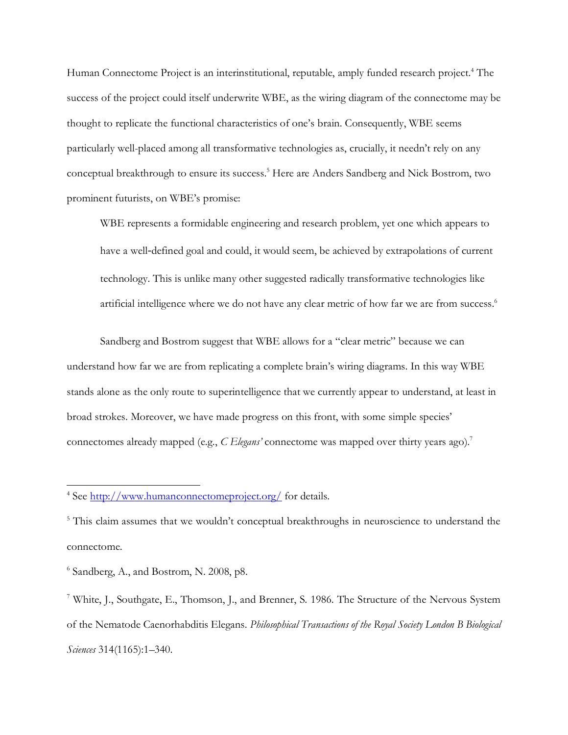Human Connectome Project is an interinstitutional, reputable, amply funded research project.<sup>4</sup> The success of the project could itself underwrite WBE, as the wiring diagram of the connectome may be thought to replicate the functional characteristics of one's brain. Consequently, WBE seems particularly well-placed among all transformative technologies as, crucially, it needn't rely on any conceptual breakthrough to ensure its success. <sup>5</sup> Here are Anders Sandberg and Nick Bostrom, two prominent futurists, on WBE's promise:

WBE represents a formidable engineering and research problem, yet one which appears to have a well-defined goal and could, it would seem, be achieved by extrapolations of current technology. This is unlike many other suggested radically transformative technologies like artificial intelligence where we do not have any clear metric of how far we are from success. 6

Sandberg and Bostrom suggest that WBE allows for a "clear metric" because we can understand how far we are from replicating a complete brain's wiring diagrams. In this way WBE stands alone as the only route to superintelligence that we currently appear to understand, at least in broad strokes. Moreover, we have made progress on this front, with some simple species' connectomes already mapped (e.g., *C Elegans'* connectome was mapped over thirty years ago).<sup>7</sup>

6 Sandberg, A., and Bostrom, N. 2008, p8.

<sup>&</sup>lt;sup>4</sup> See<http://www.humanconnectomeproject.org/> for details.

<sup>&</sup>lt;sup>5</sup> This claim assumes that we wouldn't conceptual breakthroughs in neuroscience to understand the connectome.

<sup>7</sup> White, J., Southgate, E., Thomson, J., and Brenner, S. 1986. The Structure of the Nervous System of the Nematode Caenorhabditis Elegans. *Philosophical Transactions of the Royal Society London B Biological Sciences* 314(1165):1–340.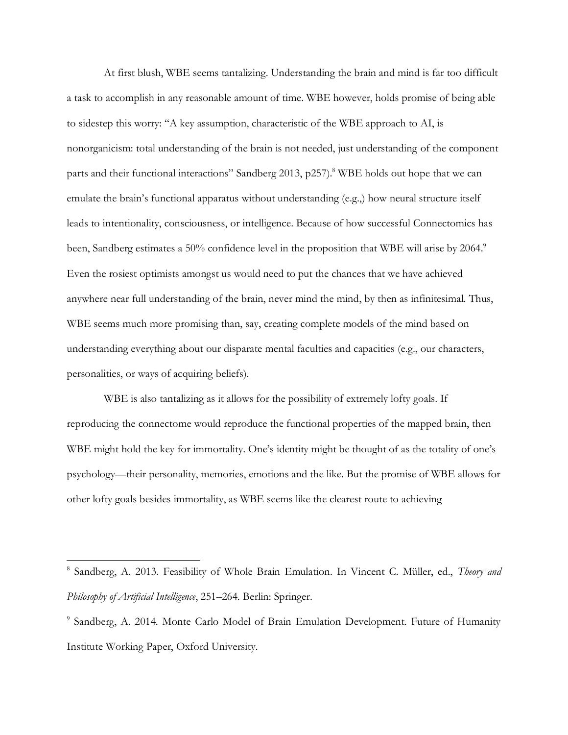At first blush, WBE seems tantalizing. Understanding the brain and mind is far too difficult a task to accomplish in any reasonable amount of time. WBE however, holds promise of being able to sidestep this worry: "A key assumption, characteristic of the WBE approach to AI, is nonorganicism: total understanding of the brain is not needed, just understanding of the component parts and their functional interactions" Sandberg 2013, p257).<sup>8</sup> WBE holds out hope that we can emulate the brain's functional apparatus without understanding (e.g.,) how neural structure itself leads to intentionality, consciousness, or intelligence. Because of how successful Connectomics has been, Sandberg estimates a 50% confidence level in the proposition that WBE will arise by 2064.<sup>9</sup> Even the rosiest optimists amongst us would need to put the chances that we have achieved anywhere near full understanding of the brain, never mind the mind, by then as infinitesimal. Thus, WBE seems much more promising than, say, creating complete models of the mind based on understanding everything about our disparate mental faculties and capacities (e.g., our characters, personalities, or ways of acquiring beliefs).

WBE is also tantalizing as it allows for the possibility of extremely lofty goals. If reproducing the connectome would reproduce the functional properties of the mapped brain, then WBE might hold the key for immortality. One's identity might be thought of as the totality of one's psychology—their personality, memories, emotions and the like. But the promise of WBE allows for other lofty goals besides immortality, as WBE seems like the clearest route to achieving

<sup>8</sup> Sandberg, A. 2013. Feasibility of Whole Brain Emulation. In Vincent C. Müller, ed., *Theory and Philosophy of Artificial Intelligence*, 251–264. Berlin: Springer.

<sup>9</sup> Sandberg, A. 2014. Monte Carlo Model of Brain Emulation Development. Future of Humanity Institute Working Paper, Oxford University*.*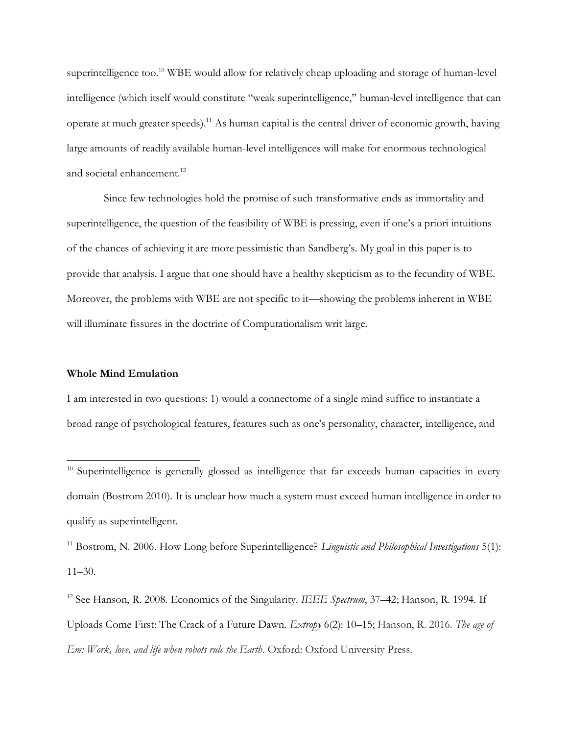superintelligence too.<sup>10</sup> WBE would allow for relatively cheap uploading and storage of human-level intelligence (which itself would constitute "weak superintelligence," human-level intelligence that can operate at much greater speeds).<sup>11</sup> As human capital is the central driver of economic growth, having large amounts of readily available human-level intelligences will make for enormous technological and societal enhancement. 12

Since few technologies hold the promise of such transformative ends as immortality and superintelligence, the question of the feasibility of WBE is pressing, even if one's a priori intuitions of the chances of achieving it are more pessimistic than Sandberg's. My goal in this paper is to provide that analysis. I argue that one should have a healthy skepticism as to the fecundity of WBE. Moreover, the problems with WBE are not specific to it—showing the problems inherent in WBE will illuminate fissures in the doctrine of Computationalism writ large.

# **Whole Mind Emulation**

I am interested in two questions: 1) would a connectome of a single mind suffice to instantiate a broad range of psychological features, features such as one's personality, character, intelligence, and

<sup>&</sup>lt;sup>10</sup> Superintelligence is generally glossed as intelligence that far exceeds human capacities in every domain (Bostrom 2010). It is unclear how much a system must exceed human intelligence in order to qualify as superintelligent.

<sup>11</sup> Bostrom, N. 2006. How Long before Superintelligence? *Linguistic and Philosophical Investigations* 5(1): 11–30.

<sup>12</sup> See Hanson, R. 2008. Economics of the Singularity. *IEEE Spectrum*, 37–42; Hanson, R. 1994. If Uploads Come First: The Crack of a Future Dawn. *Extropy* 6(2): 10–15; Hanson, R. 2016. *The age of Em: Work, love, and life when robots rule the Earth*. Oxford: Oxford University Press.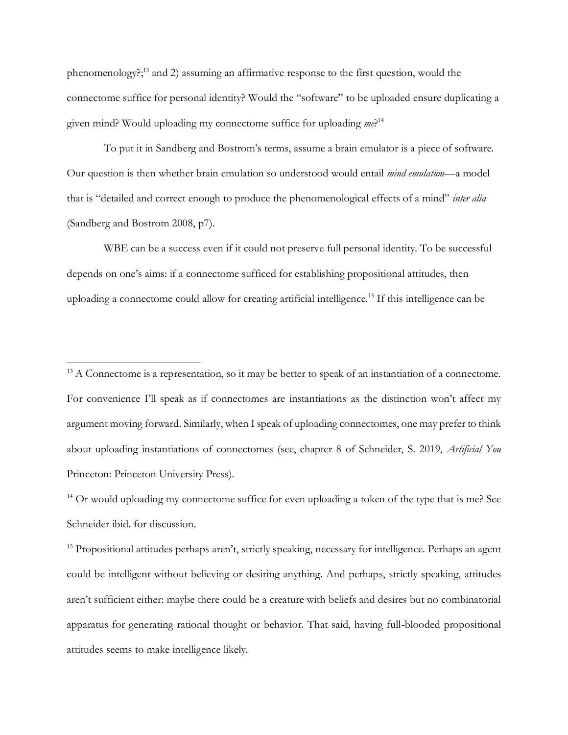phenomenology?; <sup>13</sup> and 2) assuming an affirmative response to the first question, would the connectome suffice for personal identity? Would the "software" to be uploaded ensure duplicating a given mind? Would uploading my connectome suffice for uploading *me*? 14

To put it in Sandberg and Bostrom's terms, assume a brain emulator is a piece of software. Our question is then whether brain emulation so understood would entail *mind emulation*—a model that is "detailed and correct enough to produce the phenomenological effects of a mind" *inter alia* (Sandberg and Bostrom 2008, p7).

WBE can be a success even if it could not preserve full personal identity. To be successful depends on one's aims: if a connectome sufficed for establishing propositional attitudes, then uploading a connectome could allow for creating artificial intelligence.<sup>15</sup> If this intelligence can be

<sup>14</sup> Or would uploading my connectome suffice for even uploading a token of the type that is me? See Schneider ibid. for discussion.

<sup>15</sup> Propositional attitudes perhaps aren't, strictly speaking, necessary for intelligence. Perhaps an agent could be intelligent without believing or desiring anything. And perhaps, strictly speaking, attitudes aren't sufficient either: maybe there could be a creature with beliefs and desires but no combinatorial apparatus for generating rational thought or behavior. That said, having full-blooded propositional attitudes seems to make intelligence likely.

<sup>&</sup>lt;sup>13</sup> A Connectome is a representation, so it may be better to speak of an instantiation of a connectome. For convenience I'll speak as if connectomes are instantiations as the distinction won't affect my argument moving forward. Similarly, when I speak of uploading connectomes, one may prefer to think about uploading instantiations of connectomes (see, chapter 8 of Schneider, S. 2019, *Artificial You* Princeton: Princeton University Press).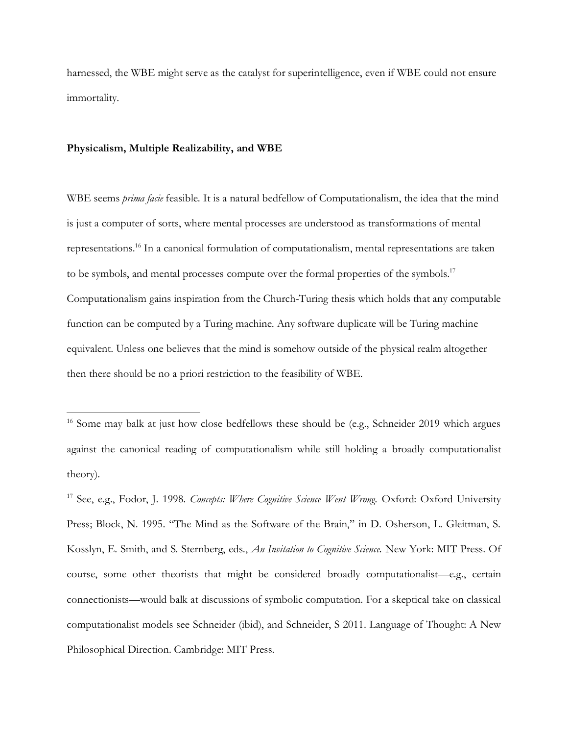harnessed, the WBE might serve as the catalyst for superintelligence, even if WBE could not ensure immortality.

# **Physicalism, Multiple Realizability, and WBE**

WBE seems *prima facie* feasible. It is a natural bedfellow of Computationalism, the idea that the mind is just a computer of sorts, where mental processes are understood as transformations of mental representations.<sup>16</sup> In a canonical formulation of computationalism, mental representations are taken to be symbols, and mental processes compute over the formal properties of the symbols.<sup>17</sup> Computationalism gains inspiration from the Church-Turing thesis which holds that any computable function can be computed by a Turing machine. Any software duplicate will be Turing machine equivalent. Unless one believes that the mind is somehow outside of the physical realm altogether then there should be no a priori restriction to the feasibility of WBE.

<sup>16</sup> Some may balk at just how close bedfellows these should be (e.g., Schneider 2019 which argues against the canonical reading of computationalism while still holding a broadly computationalist theory).

<sup>17</sup> See, e.g., Fodor, J. 1998. *Concepts: Where Cognitive Science Went Wrong*. Oxford: Oxford University Press; Block, N. 1995. "The Mind as the Software of the Brain," in D. Osherson, L. Gleitman, S. Kosslyn, E. Smith, and S. Sternberg, eds., *An Invitation to Cognitive Science.* New York: MIT Press. Of course, some other theorists that might be considered broadly computationalist—e.g., certain connectionists—would balk at discussions of symbolic computation. For a skeptical take on classical computationalist models see Schneider (ibid), and Schneider, S 2011. Language of Thought: A New Philosophical Direction. Cambridge: MIT Press.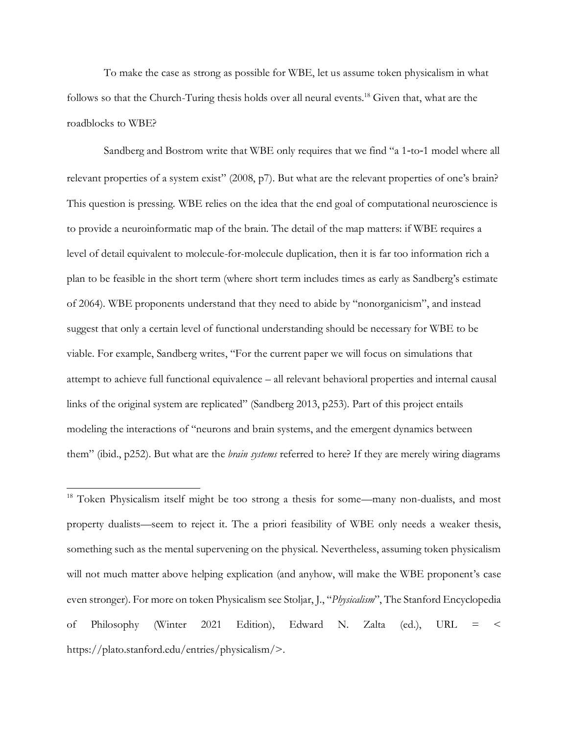To make the case as strong as possible for WBE, let us assume token physicalism in what follows so that the Church-Turing thesis holds over all neural events.<sup>18</sup> Given that, what are the roadblocks to WBE?

Sandberg and Bostrom write that WBE only requires that we find "a 1‐to‐1 model where all relevant properties of a system exist" (2008, p7). But what are the relevant properties of one's brain? This question is pressing. WBE relies on the idea that the end goal of computational neuroscience is to provide a neuroinformatic map of the brain. The detail of the map matters: if WBE requires a level of detail equivalent to molecule-for-molecule duplication, then it is far too information rich a plan to be feasible in the short term (where short term includes times as early as Sandberg's estimate of 2064). WBE proponents understand that they need to abide by "nonorganicism", and instead suggest that only a certain level of functional understanding should be necessary for WBE to be viable. For example, Sandberg writes, "For the current paper we will focus on simulations that attempt to achieve full functional equivalence – all relevant behavioral properties and internal causal links of the original system are replicated" (Sandberg 2013, p253). Part of this project entails modeling the interactions of "neurons and brain systems, and the emergent dynamics between them" (ibid., p252). But what are the *brain systems* referred to here? If they are merely wiring diagrams

<sup>18</sup> Token Physicalism itself might be too strong a thesis for some—many non-dualists, and most property dualists—seem to reject it. The a priori feasibility of WBE only needs a weaker thesis, something such as the mental supervening on the physical. Nevertheless, assuming token physicalism will not much matter above helping explication (and anyhow, will make the WBE proponent's case even stronger). For more on token Physicalism see Stoljar, J., "*Physicalism*", The Stanford Encyclopedia of Philosophy (Winter 2021 Edition), Edward N. Zalta (ed.), URL = < https://plato.stanford.edu/entries/physicalism/>.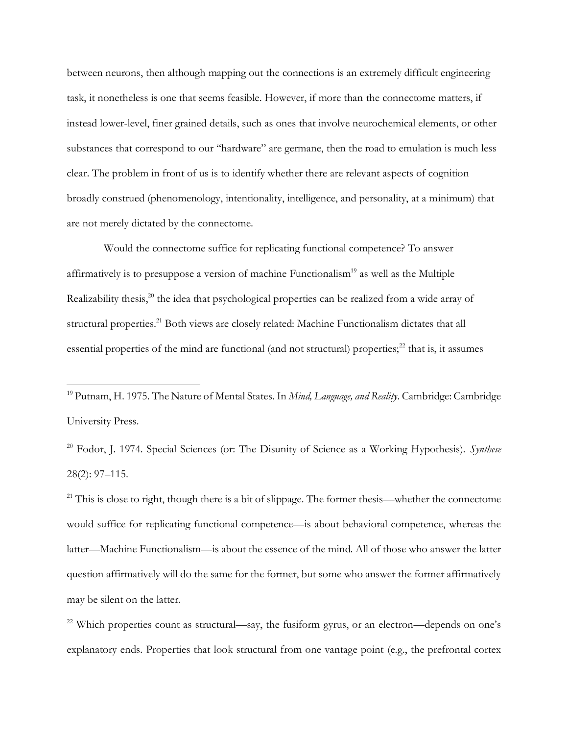between neurons, then although mapping out the connections is an extremely difficult engineering task, it nonetheless is one that seems feasible. However, if more than the connectome matters, if instead lower-level, finer grained details, such as ones that involve neurochemical elements, or other substances that correspond to our "hardware" are germane, then the road to emulation is much less clear. The problem in front of us is to identify whether there are relevant aspects of cognition broadly construed (phenomenology, intentionality, intelligence, and personality, at a minimum) that are not merely dictated by the connectome.

Would the connectome suffice for replicating functional competence? To answer affirmatively is to presuppose a version of machine Functionalism<sup>19</sup> as well as the Multiple Realizability thesis,<sup>20</sup> the idea that psychological properties can be realized from a wide array of structural properties.<sup>21</sup> Both views are closely related: Machine Functionalism dictates that all essential properties of the mind are functional (and not structural) properties;<sup>22</sup> that is, it assumes

<sup>20</sup> Fodor, J. 1974. Special Sciences (or: The Disunity of Science as a Working Hypothesis). *Synthese* 28(2): 97–115.

 $21$ <sup>21</sup> This is close to right, though there is a bit of slippage. The former thesis—whether the connectome would suffice for replicating functional competence—is about behavioral competence, whereas the latter—Machine Functionalism—is about the essence of the mind. All of those who answer the latter question affirmatively will do the same for the former, but some who answer the former affirmatively may be silent on the latter.

<sup>22</sup> Which properties count as structural—say, the fusiform gyrus, or an electron—depends on one's explanatory ends. Properties that look structural from one vantage point (e.g., the prefrontal cortex

<sup>19</sup> Putnam, H. 1975. The Nature of Mental States. In *Mind, Language, and Reality*. Cambridge: Cambridge University Press.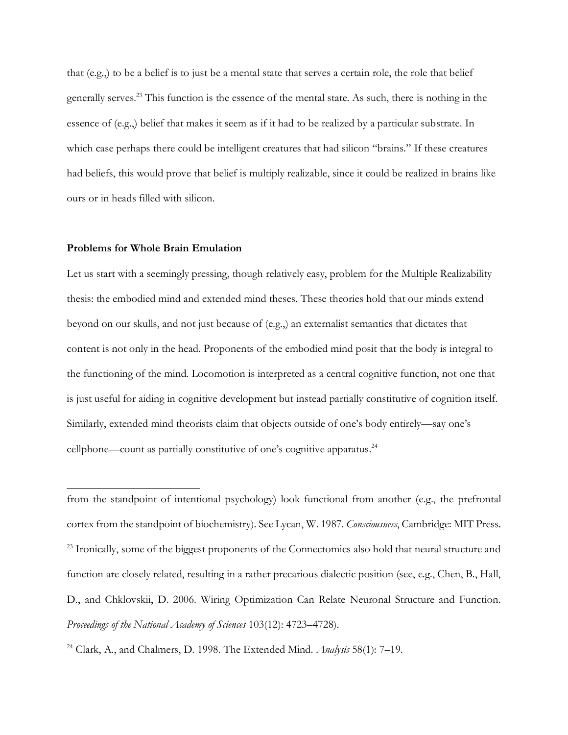that (e.g.,) to be a belief is to just be a mental state that serves a certain role, the role that belief generally serves.<sup>23</sup> This function is the essence of the mental state. As such, there is nothing in the essence of (e.g.,) belief that makes it seem as if it had to be realized by a particular substrate. In which case perhaps there could be intelligent creatures that had silicon "brains." If these creatures had beliefs, this would prove that belief is multiply realizable, since it could be realized in brains like ours or in heads filled with silicon.

### **Problems for Whole Brain Emulation**

Let us start with a seemingly pressing, though relatively easy, problem for the Multiple Realizability thesis: the embodied mind and extended mind theses. These theories hold that our minds extend beyond on our skulls, and not just because of (e.g.,) an externalist semantics that dictates that content is not only in the head. Proponents of the embodied mind posit that the body is integral to the functioning of the mind. Locomotion is interpreted as a central cognitive function, not one that is just useful for aiding in cognitive development but instead partially constitutive of cognition itself. Similarly, extended mind theorists claim that objects outside of one's body entirely—say one's cellphone—count as partially constitutive of one's cognitive apparatus.<sup>24</sup>

from the standpoint of intentional psychology) look functional from another (e.g., the prefrontal cortex from the standpoint of biochemistry). See Lycan, W. 1987. *Consciousness*, Cambridge: MIT Press. <sup>23</sup> Ironically, some of the biggest proponents of the Connectomics also hold that neural structure and function are closely related, resulting in a rather precarious dialectic position (see, e.g., Chen, B., Hall, D., and Chklovskii, D. 2006. Wiring Optimization Can Relate Neuronal Structure and Function. *Proceedings of the National Academy of Sciences* 103(12): 4723–4728).

<sup>24</sup> Clark, A., and Chalmers, D. 1998. The Extended Mind. *Analysis* 58(1): 7–19.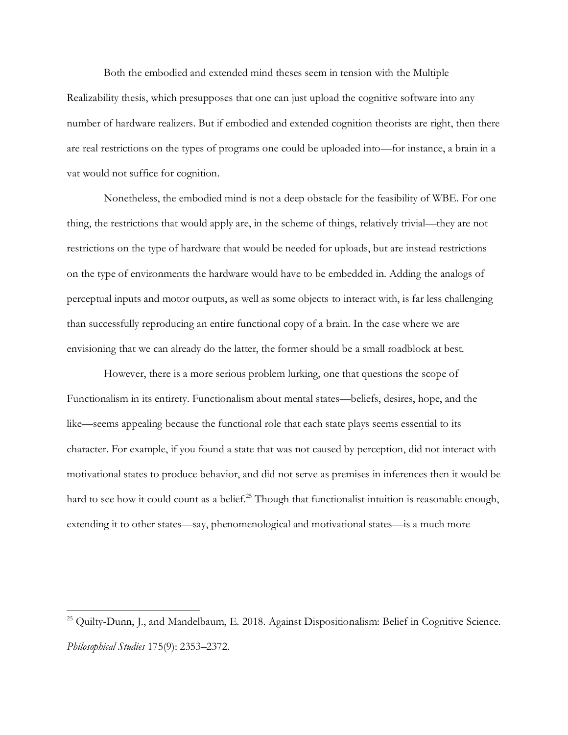Both the embodied and extended mind theses seem in tension with the Multiple Realizability thesis, which presupposes that one can just upload the cognitive software into any number of hardware realizers. But if embodied and extended cognition theorists are right, then there are real restrictions on the types of programs one could be uploaded into—for instance, a brain in a vat would not suffice for cognition.

Nonetheless, the embodied mind is not a deep obstacle for the feasibility of WBE. For one thing, the restrictions that would apply are, in the scheme of things, relatively trivial—they are not restrictions on the type of hardware that would be needed for uploads, but are instead restrictions on the type of environments the hardware would have to be embedded in. Adding the analogs of perceptual inputs and motor outputs, as well as some objects to interact with, is far less challenging than successfully reproducing an entire functional copy of a brain. In the case where we are envisioning that we can already do the latter, the former should be a small roadblock at best.

However, there is a more serious problem lurking, one that questions the scope of Functionalism in its entirety. Functionalism about mental states—beliefs, desires, hope, and the like—seems appealing because the functional role that each state plays seems essential to its character. For example, if you found a state that was not caused by perception, did not interact with motivational states to produce behavior, and did not serve as premises in inferences then it would be hard to see how it could count as a belief.<sup>25</sup> Though that functionalist intuition is reasonable enough, extending it to other states—say, phenomenological and motivational states—is a much more

<sup>&</sup>lt;sup>25</sup> Quilty-Dunn, J., and Mandelbaum, E. 2018. Against Dispositionalism: Belief in Cognitive Science. *Philosophical Studies* 175(9): 2353–2372.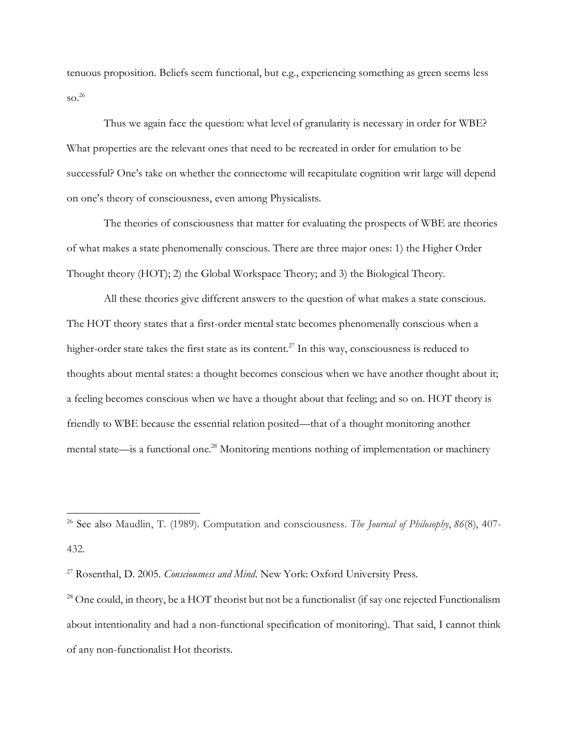tenuous proposition. Beliefs seem functional, but e.g., experiencing something as green seems less so. 26

Thus we again face the question: what level of granularity is necessary in order for WBE? What properties are the relevant ones that need to be recreated in order for emulation to be successful? One's take on whether the connectome will recapitulate cognition writ large will depend on one's theory of consciousness, even among Physicalists.

The theories of consciousness that matter for evaluating the prospects of WBE are theories of what makes a state phenomenally conscious. There are three major ones: 1) the Higher Order Thought theory (HOT); 2) the Global Workspace Theory; and 3) the Biological Theory.

All these theories give different answers to the question of what makes a state conscious. The HOT theory states that a first-order mental state becomes phenomenally conscious when a higher-order state takes the first state as its content.<sup>27</sup> In this way, consciousness is reduced to thoughts about mental states: a thought becomes conscious when we have another thought about it; a feeling becomes conscious when we have a thought about that feeling; and so on. HOT theory is friendly to WBE because the essential relation posited—that of a thought monitoring another mental state—is a functional one.<sup>28</sup> Monitoring mentions nothing of implementation or machinery

<sup>26</sup> See also Maudlin, T. (1989). Computation and consciousness. *The Journal of Philosophy*, *86*(8), 407- 432.

<sup>27</sup> Rosenthal, D. 2005. *Consciousness and Mind*. New York: Oxford University Press.

<sup>&</sup>lt;sup>28</sup> One could, in theory, be a HOT theorist but not be a functionalist (if say one rejected Functionalism about intentionality and had a non-functional specification of monitoring). That said, I cannot think of any non-functionalist Hot theorists.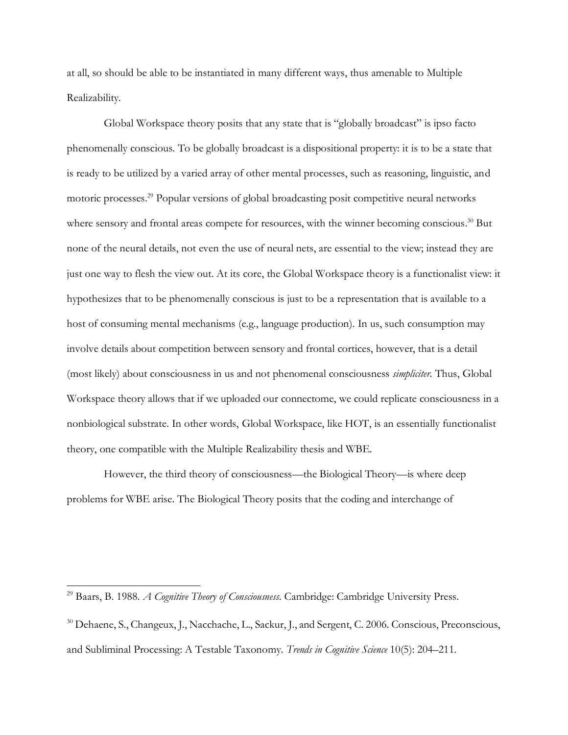at all, so should be able to be instantiated in many different ways, thus amenable to Multiple Realizability.

Global Workspace theory posits that any state that is "globally broadcast" is ipso facto phenomenally conscious. To be globally broadcast is a dispositional property: it is to be a state that is ready to be utilized by a varied array of other mental processes, such as reasoning, linguistic, and motoric processes. <sup>29</sup> Popular versions of global broadcasting posit competitive neural networks where sensory and frontal areas compete for resources, with the winner becoming conscious.<sup>30</sup> But none of the neural details, not even the use of neural nets, are essential to the view; instead they are just one way to flesh the view out. At its core, the Global Workspace theory is a functionalist view: it hypothesizes that to be phenomenally conscious is just to be a representation that is available to a host of consuming mental mechanisms (e.g., language production). In us, such consumption may involve details about competition between sensory and frontal cortices, however, that is a detail (most likely) about consciousness in us and not phenomenal consciousness *simpliciter*. Thus, Global Workspace theory allows that if we uploaded our connectome, we could replicate consciousness in a nonbiological substrate. In other words, Global Workspace, like HOT, is an essentially functionalist theory, one compatible with the Multiple Realizability thesis and WBE.

However, the third theory of consciousness—the Biological Theory—is where deep problems for WBE arise. The Biological Theory posits that the coding and interchange of

<sup>29</sup> Baars, B. 1988. *A Cognitive Theory of Consciousness.* Cambridge: Cambridge University Press.

<sup>30</sup> Dehaene, S., Changeux, J., Nacchache, L., Sackur, J., and Sergent, C. 2006. Conscious, Preconscious, and Subliminal Processing: A Testable Taxonomy. *Trends in Cognitive Science* 10(5): 204–211.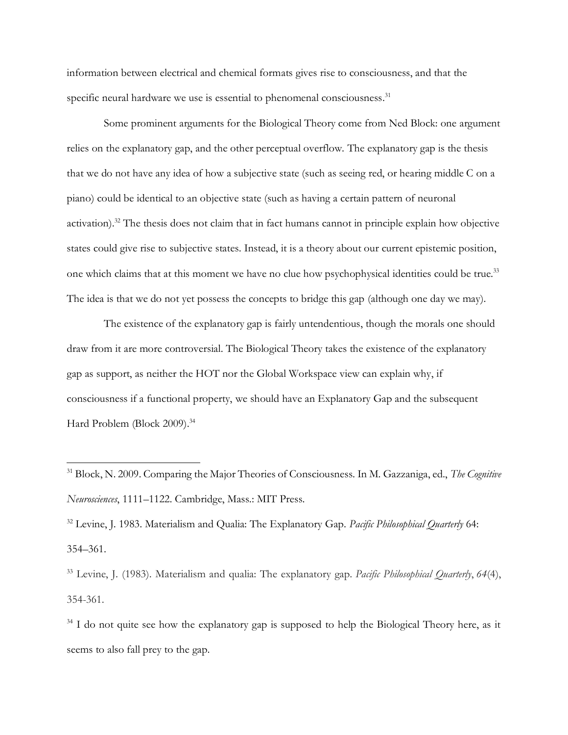information between electrical and chemical formats gives rise to consciousness, and that the specific neural hardware we use is essential to phenomenal consciousness.<sup>31</sup>

Some prominent arguments for the Biological Theory come from Ned Block: one argument relies on the explanatory gap, and the other perceptual overflow. The explanatory gap is the thesis that we do not have any idea of how a subjective state (such as seeing red, or hearing middle C on a piano) could be identical to an objective state (such as having a certain pattern of neuronal activation).<sup>32</sup> The thesis does not claim that in fact humans cannot in principle explain how objective states could give rise to subjective states. Instead, it is a theory about our current epistemic position, one which claims that at this moment we have no clue how psychophysical identities could be true.<sup>33</sup> The idea is that we do not yet possess the concepts to bridge this gap (although one day we may).

The existence of the explanatory gap is fairly untendentious, though the morals one should draw from it are more controversial. The Biological Theory takes the existence of the explanatory gap as support, as neither the HOT nor the Global Workspace view can explain why, if consciousness if a functional property, we should have an Explanatory Gap and the subsequent Hard Problem (Block 2009).<sup>34</sup>

<sup>32</sup> Levine, J. 1983. Materialism and Qualia: The Explanatory Gap. *Pacific Philosophical Quarterly* 64: 354–361.

<sup>31</sup> Block, N. 2009. Comparing the Major Theories of Consciousness. In M. Gazzaniga, ed., *The Cognitive Neurosciences*, 1111–1122. Cambridge, Mass.: MIT Press.

<sup>33</sup> Levine, J. (1983). Materialism and qualia: The explanatory gap. *Pacific Philosophical Quarterly*, *64*(4), 354-361.

<sup>&</sup>lt;sup>34</sup> I do not quite see how the explanatory gap is supposed to help the Biological Theory here, as it seems to also fall prey to the gap.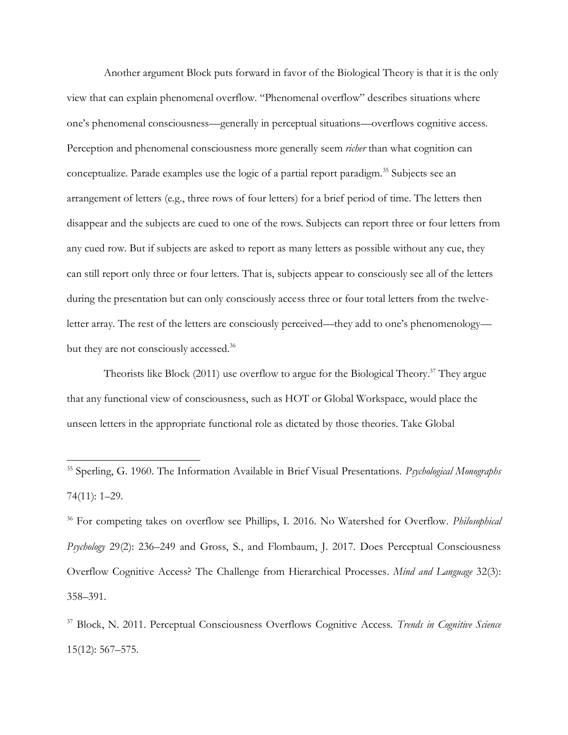Another argument Block puts forward in favor of the Biological Theory is that it is the only view that can explain phenomenal overflow. "Phenomenal overflow" describes situations where one's phenomenal consciousness—generally in perceptual situations—overflows cognitive access. Perception and phenomenal consciousness more generally seem *richer* than what cognition can conceptualize. Parade examples use the logic of a partial report paradigm.<sup>35</sup> Subjects see an arrangement of letters (e.g., three rows of four letters) for a brief period of time. The letters then disappear and the subjects are cued to one of the rows. Subjects can report three or four letters from any cued row. But if subjects are asked to report as many letters as possible without any cue, they can still report only three or four letters. That is, subjects appear to consciously see all of the letters during the presentation but can only consciously access three or four total letters from the twelveletter array. The rest of the letters are consciously perceived—they add to one's phenomenology but they are not consciously accessed.<sup>36</sup>

Theorists like Block (2011) use overflow to argue for the Biological Theory.<sup>37</sup> They argue that any functional view of consciousness, such as HOT or Global Workspace, would place the unseen letters in the appropriate functional role as dictated by those theories. Take Global

<sup>36</sup> For competing takes on overflow see Phillips, I. 2016. No Watershed for Overflow. *Philosophical Psychology* 29(2): 236–249 and Gross, S., and Flombaum, J. 2017. Does Perceptual Consciousness Overflow Cognitive Access? The Challenge from Hierarchical Processes. *Mind and Language* 32(3): 358–391.

<sup>35</sup> Sperling, G. 1960. The Information Available in Brief Visual Presentations. *Psychological Monographs* 74(11): 1–29.

<sup>37</sup> Block, N. 2011. Perceptual Consciousness Overflows Cognitive Access. *Trends in Cognitive Science*  15(12): 567–575.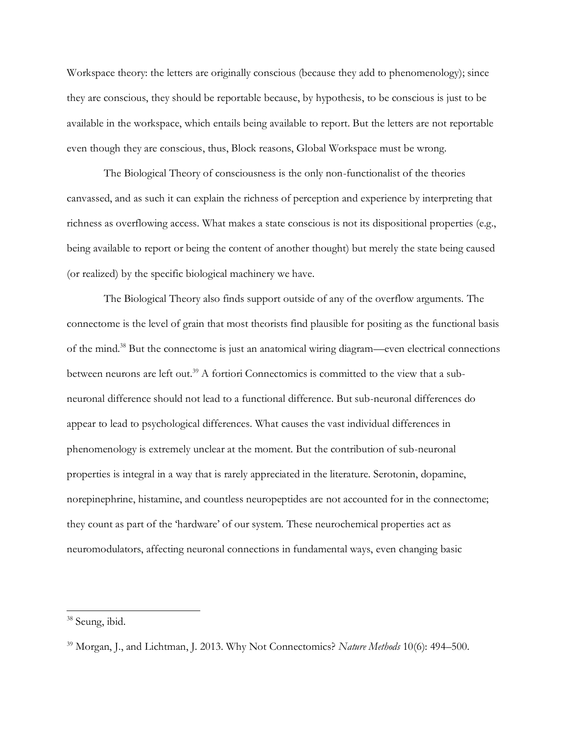Workspace theory: the letters are originally conscious (because they add to phenomenology); since they are conscious, they should be reportable because, by hypothesis, to be conscious is just to be available in the workspace, which entails being available to report. But the letters are not reportable even though they are conscious, thus, Block reasons, Global Workspace must be wrong.

The Biological Theory of consciousness is the only non-functionalist of the theories canvassed, and as such it can explain the richness of perception and experience by interpreting that richness as overflowing access. What makes a state conscious is not its dispositional properties (e.g., being available to report or being the content of another thought) but merely the state being caused (or realized) by the specific biological machinery we have.

The Biological Theory also finds support outside of any of the overflow arguments. The connectome is the level of grain that most theorists find plausible for positing as the functional basis of the mind.<sup>38</sup> But the connectome is just an anatomical wiring diagram—even electrical connections between neurons are left out.<sup>39</sup> A fortiori Connectomics is committed to the view that a subneuronal difference should not lead to a functional difference. But sub-neuronal differences do appear to lead to psychological differences. What causes the vast individual differences in phenomenology is extremely unclear at the moment. But the contribution of sub-neuronal properties is integral in a way that is rarely appreciated in the literature. Serotonin, dopamine, norepinephrine, histamine, and countless neuropeptides are not accounted for in the connectome; they count as part of the 'hardware' of our system. These neurochemical properties act as neuromodulators, affecting neuronal connections in fundamental ways, even changing basic

<sup>38</sup> Seung, ibid.

<sup>39</sup> Morgan, J., and Lichtman, J. 2013. Why Not Connectomics? *Nature Methods* 10(6): 494–500.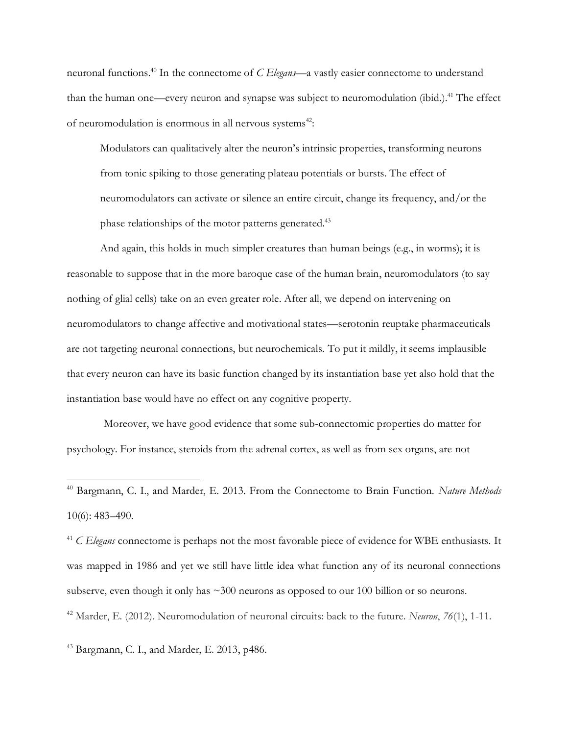neuronal functions. <sup>40</sup> In the connectome of *C Elegans*—a vastly easier connectome to understand than the human one—every neuron and synapse was subject to neuromodulation (ibid.).<sup>41</sup> The effect of neuromodulation is enormous in all nervous systems<sup>42</sup>:

Modulators can qualitatively alter the neuron's intrinsic properties, transforming neurons from tonic spiking to those generating plateau potentials or bursts. The effect of neuromodulators can activate or silence an entire circuit, change its frequency, and/or the phase relationships of the motor patterns generated.<sup>43</sup>

And again, this holds in much simpler creatures than human beings (e.g., in worms); it is reasonable to suppose that in the more baroque case of the human brain, neuromodulators (to say nothing of glial cells) take on an even greater role. After all, we depend on intervening on neuromodulators to change affective and motivational states—serotonin reuptake pharmaceuticals are not targeting neuronal connections, but neurochemicals. To put it mildly, it seems implausible that every neuron can have its basic function changed by its instantiation base yet also hold that the instantiation base would have no effect on any cognitive property.

Moreover, we have good evidence that some sub-connectomic properties do matter for psychology. For instance, steroids from the adrenal cortex, as well as from sex organs, are not

<sup>40</sup> Bargmann, C. I., and Marder, E. 2013. From the Connectome to Brain Function. *Nature Methods* 10(6): 483–490.

<sup>41</sup> *C Elegans* connectome is perhaps not the most favorable piece of evidence for WBE enthusiasts. It was mapped in 1986 and yet we still have little idea what function any of its neuronal connections subserve, even though it only has ~300 neurons as opposed to our 100 billion or so neurons.

<sup>42</sup> Marder, E. (2012). Neuromodulation of neuronal circuits: back to the future. *Neuron*, *76*(1), 1-11.

<sup>43</sup> Bargmann, C. I., and Marder, E. 2013, p486.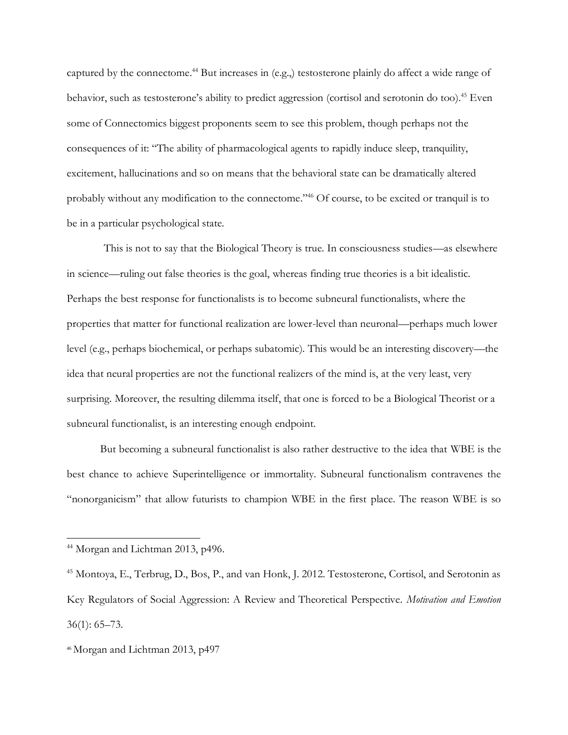captured by the connectome. <sup>44</sup> But increases in (e.g.,) testosterone plainly do affect a wide range of behavior, such as testosterone's ability to predict aggression (cortisol and serotonin do too). <sup>45</sup> Even some of Connectomics biggest proponents seem to see this problem, though perhaps not the consequences of it: "The ability of pharmacological agents to rapidly induce sleep, tranquility, excitement, hallucinations and so on means that the behavioral state can be dramatically altered probably without any modification to the connectome." <sup>46</sup> Of course, to be excited or tranquil is to be in a particular psychological state.

This is not to say that the Biological Theory is true. In consciousness studies—as elsewhere in science—ruling out false theories is the goal, whereas finding true theories is a bit idealistic. Perhaps the best response for functionalists is to become subneural functionalists, where the properties that matter for functional realization are lower-level than neuronal—perhaps much lower level (e.g., perhaps biochemical, or perhaps subatomic). This would be an interesting discovery—the idea that neural properties are not the functional realizers of the mind is, at the very least, very surprising. Moreover, the resulting dilemma itself, that one is forced to be a Biological Theorist or a subneural functionalist, is an interesting enough endpoint.

But becoming a subneural functionalist is also rather destructive to the idea that WBE is the best chance to achieve Superintelligence or immortality. Subneural functionalism contravenes the "nonorganicism" that allow futurists to champion WBE in the first place. The reason WBE is so

<sup>&</sup>lt;sup>44</sup> Morgan and Lichtman 2013, p496.

<sup>45</sup> Montoya, E., Terbrug, D., Bos, P., and van Honk, J. 2012. Testosterone, Cortisol, and Serotonin as Key Regulators of Social Aggression: A Review and Theoretical Perspective. *Motivation and Emotion*  36(1): 65–73.

<sup>46</sup> Morgan and Lichtman 2013, p497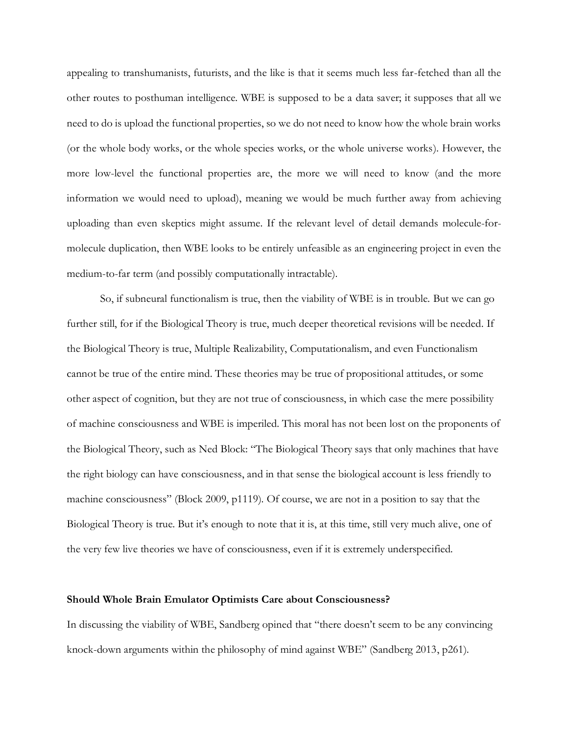appealing to transhumanists, futurists, and the like is that it seems much less far-fetched than all the other routes to posthuman intelligence. WBE is supposed to be a data saver; it supposes that all we need to do is upload the functional properties, so we do not need to know how the whole brain works (or the whole body works, or the whole species works, or the whole universe works). However, the more low-level the functional properties are, the more we will need to know (and the more information we would need to upload), meaning we would be much further away from achieving uploading than even skeptics might assume. If the relevant level of detail demands molecule-formolecule duplication, then WBE looks to be entirely unfeasible as an engineering project in even the medium-to-far term (and possibly computationally intractable).

So, if subneural functionalism is true, then the viability of WBE is in trouble. But we can go further still, for if the Biological Theory is true, much deeper theoretical revisions will be needed. If the Biological Theory is true, Multiple Realizability, Computationalism, and even Functionalism cannot be true of the entire mind. These theories may be true of propositional attitudes, or some other aspect of cognition, but they are not true of consciousness, in which case the mere possibility of machine consciousness and WBE is imperiled. This moral has not been lost on the proponents of the Biological Theory, such as Ned Block: "The Biological Theory says that only machines that have the right biology can have consciousness, and in that sense the biological account is less friendly to machine consciousness" (Block 2009, p1119). Of course, we are not in a position to say that the Biological Theory is true. But it's enough to note that it is, at this time, still very much alive, one of the very few live theories we have of consciousness, even if it is extremely underspecified.

#### **Should Whole Brain Emulator Optimists Care about Consciousness?**

In discussing the viability of WBE, Sandberg opined that "there doesn't seem to be any convincing knock-down arguments within the philosophy of mind against WBE" (Sandberg 2013, p261).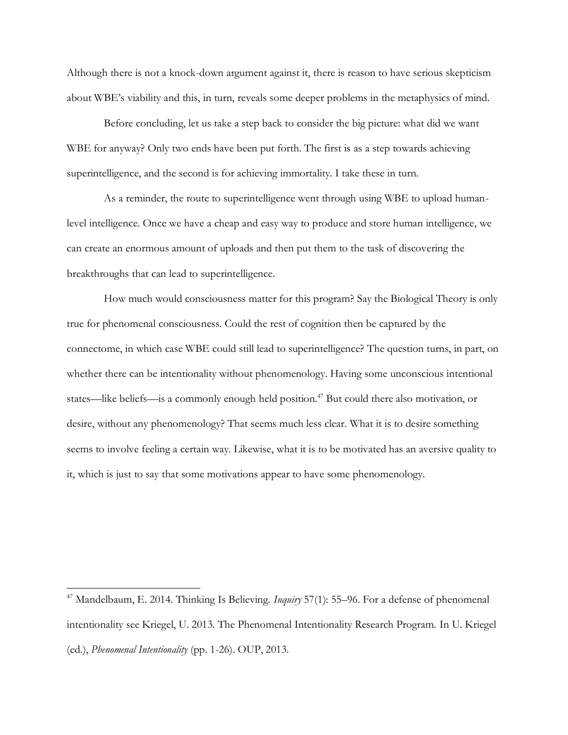Although there is not a knock-down argument against it, there is reason to have serious skepticism about WBE's viability and this, in turn, reveals some deeper problems in the metaphysics of mind.

Before concluding, let us take a step back to consider the big picture: what did we want WBE for anyway? Only two ends have been put forth. The first is as a step towards achieving superintelligence, and the second is for achieving immortality. I take these in turn.

As a reminder, the route to superintelligence went through using WBE to upload humanlevel intelligence. Once we have a cheap and easy way to produce and store human intelligence, we can create an enormous amount of uploads and then put them to the task of discovering the breakthroughs that can lead to superintelligence.

How much would consciousness matter for this program? Say the Biological Theory is only true for phenomenal consciousness. Could the rest of cognition then be captured by the connectome, in which case WBE could still lead to superintelligence? The question turns, in part, on whether there can be intentionality without phenomenology. Having some unconscious intentional states—like beliefs—is a commonly enough held position.<sup>47</sup> But could there also motivation, or desire, without any phenomenology? That seems much less clear. What it is to desire something seems to involve feeling a certain way. Likewise, what it is to be motivated has an aversive quality to it, which is just to say that some motivations appear to have some phenomenology.

<sup>47</sup> Mandelbaum, E. 2014. Thinking Is Believing. *Inquiry* 57(1): 55–96. For a defense of phenomenal intentionality see Kriegel, U. 2013. The Phenomenal Intentionality Research Program. In U. Kriegel (ed.), *Phenomenal Intentionality* (pp. 1-26). OUP, 2013.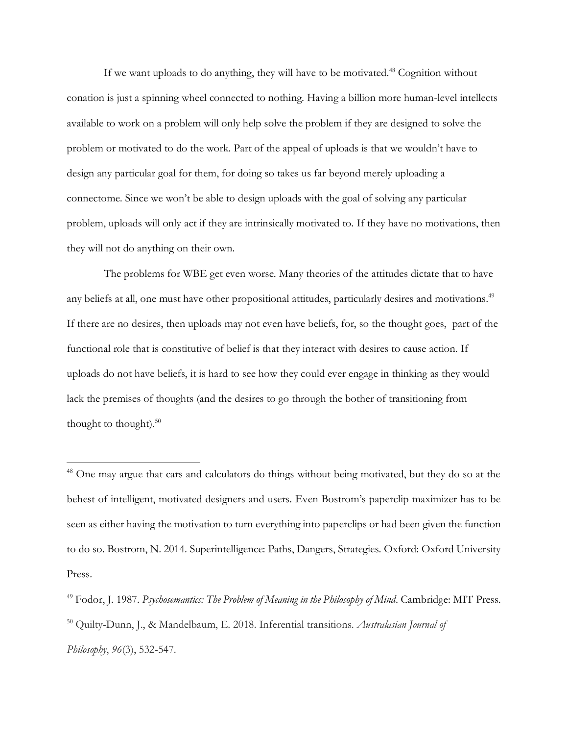If we want uploads to do anything, they will have to be motivated.<sup>48</sup> Cognition without conation is just a spinning wheel connected to nothing. Having a billion more human-level intellects available to work on a problem will only help solve the problem if they are designed to solve the problem or motivated to do the work. Part of the appeal of uploads is that we wouldn't have to design any particular goal for them, for doing so takes us far beyond merely uploading a connectome. Since we won't be able to design uploads with the goal of solving any particular problem, uploads will only act if they are intrinsically motivated to. If they have no motivations, then they will not do anything on their own.

The problems for WBE get even worse. Many theories of the attitudes dictate that to have any beliefs at all, one must have other propositional attitudes, particularly desires and motivations.<sup>49</sup> If there are no desires, then uploads may not even have beliefs, for, so the thought goes, part of the functional role that is constitutive of belief is that they interact with desires to cause action. If uploads do not have beliefs, it is hard to see how they could ever engage in thinking as they would lack the premises of thoughts (and the desires to go through the bother of transitioning from thought to thought). $50$ 

<sup>48</sup> One may argue that cars and calculators do things without being motivated, but they do so at the behest of intelligent, motivated designers and users. Even Bostrom's paperclip maximizer has to be seen as either having the motivation to turn everything into paperclips or had been given the function to do so. Bostrom, N. 2014. Superintelligence: Paths, Dangers, Strategies. Oxford: Oxford University Press.

<sup>49</sup> Fodor, J. 1987. *Psychosemantics: The Problem of Meaning in the Philosophy of Mind*. Cambridge: MIT Press. <sup>50</sup> Quilty-Dunn, J., & Mandelbaum, E. 2018. Inferential transitions. *Australasian Journal of*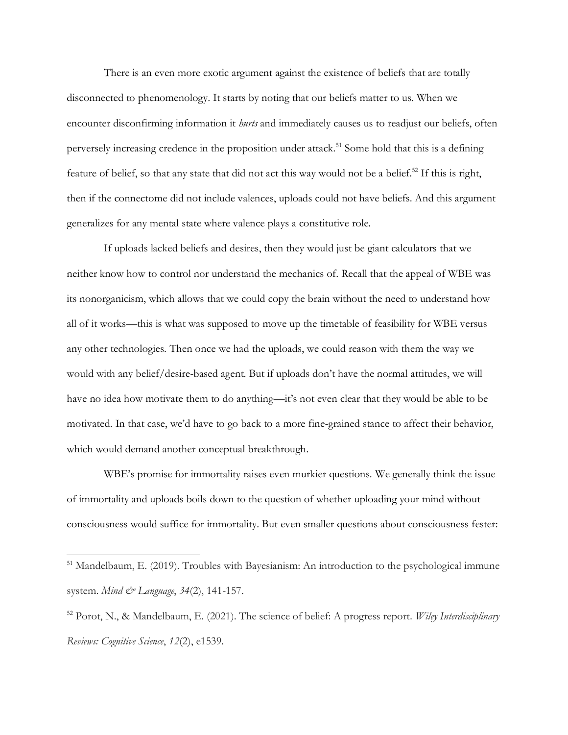There is an even more exotic argument against the existence of beliefs that are totally disconnected to phenomenology. It starts by noting that our beliefs matter to us. When we encounter disconfirming information it *hurts* and immediately causes us to readjust our beliefs, often perversely increasing credence in the proposition under attack.<sup>51</sup> Some hold that this is a defining feature of belief, so that any state that did not act this way would not be a belief.<sup>52</sup> If this is right, then if the connectome did not include valences, uploads could not have beliefs. And this argument generalizes for any mental state where valence plays a constitutive role.

If uploads lacked beliefs and desires, then they would just be giant calculators that we neither know how to control nor understand the mechanics of. Recall that the appeal of WBE was its nonorganicism, which allows that we could copy the brain without the need to understand how all of it works—this is what was supposed to move up the timetable of feasibility for WBE versus any other technologies. Then once we had the uploads, we could reason with them the way we would with any belief/desire-based agent. But if uploads don't have the normal attitudes, we will have no idea how motivate them to do anything—it's not even clear that they would be able to be motivated. In that case, we'd have to go back to a more fine-grained stance to affect their behavior, which would demand another conceptual breakthrough.

WBE's promise for immortality raises even murkier questions. We generally think the issue of immortality and uploads boils down to the question of whether uploading your mind without consciousness would suffice for immortality. But even smaller questions about consciousness fester:

<sup>51</sup> Mandelbaum, E. (2019). Troubles with Bayesianism: An introduction to the psychological immune system. *Mind & Language*, *34*(2), 141-157.

<sup>52</sup> Porot, N., & Mandelbaum, E. (2021). The science of belief: A progress report. *Wiley Interdisciplinary Reviews: Cognitive Science*, *12*(2), e1539.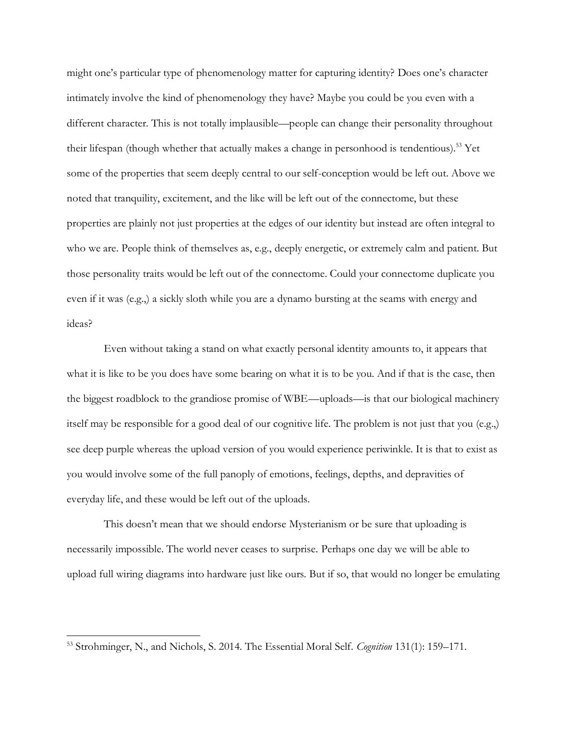might one's particular type of phenomenology matter for capturing identity? Does one's character intimately involve the kind of phenomenology they have? Maybe you could be you even with a different character. This is not totally implausible—people can change their personality throughout their lifespan (though whether that actually makes a change in personhood is tendentious).<sup>53</sup> Yet some of the properties that seem deeply central to our self-conception would be left out. Above we noted that tranquility, excitement, and the like will be left out of the connectome, but these properties are plainly not just properties at the edges of our identity but instead are often integral to who we are. People think of themselves as, e.g., deeply energetic, or extremely calm and patient. But those personality traits would be left out of the connectome. Could your connectome duplicate you even if it was (e.g.,) a sickly sloth while you are a dynamo bursting at the seams with energy and ideas?

Even without taking a stand on what exactly personal identity amounts to, it appears that what it is like to be you does have some bearing on what it is to be you. And if that is the case, then the biggest roadblock to the grandiose promise of WBE—uploads—is that our biological machinery itself may be responsible for a good deal of our cognitive life. The problem is not just that you (e.g.,) see deep purple whereas the upload version of you would experience periwinkle. It is that to exist as you would involve some of the full panoply of emotions, feelings, depths, and depravities of everyday life, and these would be left out of the uploads.

This doesn't mean that we should endorse Mysterianism or be sure that uploading is necessarily impossible. The world never ceases to surprise. Perhaps one day we will be able to upload full wiring diagrams into hardware just like ours. But if so, that would no longer be emulating

<sup>53</sup> Strohminger, N., and Nichols, S. 2014. The Essential Moral Self. *Cognition* 131(1): 159–171.